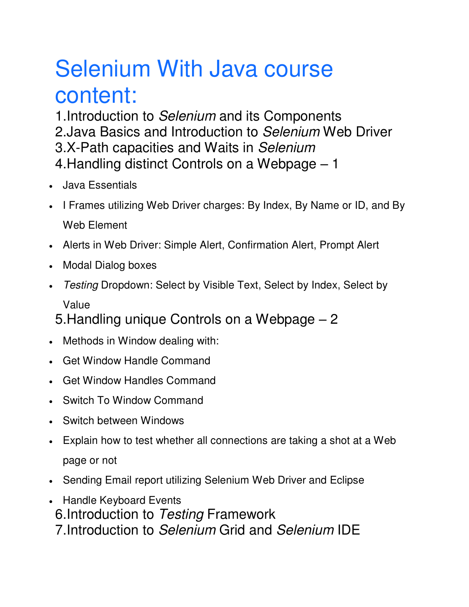## Selenium With Java course content:

1.Introduction to *Selenium* and its Components 2.Java Basics and Introduction to *Selenium* Web Driver 3.X-Path capacities and Waits in *Selenium* 4.Handling distinct Controls on a Webpage – 1

- Java Essentials
- I Frames utilizing Web Driver charges: By Index, By Name or ID, and By Web Element
- Alerts in Web Driver: Simple Alert, Confirmation Alert, Prompt Alert
- Modal Dialog boxes
- *Testing* Dropdown: Select by Visible Text, Select by Index, Select by

Value

5.Handling unique Controls on a Webpage – 2

- Methods in Window dealing with:
- Get Window Handle Command
- Get Window Handles Command
- Switch To Window Command
- Switch between Windows
- Explain how to test whether all connections are taking a shot at a Web page or not
- Sending Email report utilizing Selenium Web Driver and Eclipse
- Handle Keyboard Events 6.Introduction to *Testing* Framework 7.Introduction to *Selenium* Grid and *Selenium* IDE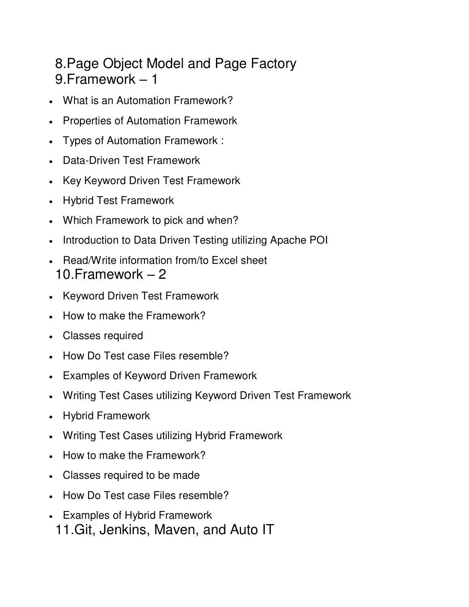## 8.Page Object Model and Page Factory 9.Framework – 1

- What is an Automation Framework?
- Properties of Automation Framework
- Types of Automation Framework :
- Data-Driven Test Framework
- Key Keyword Driven Test Framework
- Hybrid Test Framework
- Which Framework to pick and when?
- Introduction to Data Driven Testing utilizing Apache POI
- Read/Write information from/to Excel sheet 10.Framework – 2
- Keyword Driven Test Framework
- How to make the Framework?
- Classes required
- How Do Test case Files resemble?
- Examples of Keyword Driven Framework
- Writing Test Cases utilizing Keyword Driven Test Framework
- Hybrid Framework
- Writing Test Cases utilizing Hybrid Framework
- How to make the Framework?
- Classes required to be made
- How Do Test case Files resemble?
- Examples of Hybrid Framework 11.Git, Jenkins, Maven, and Auto IT